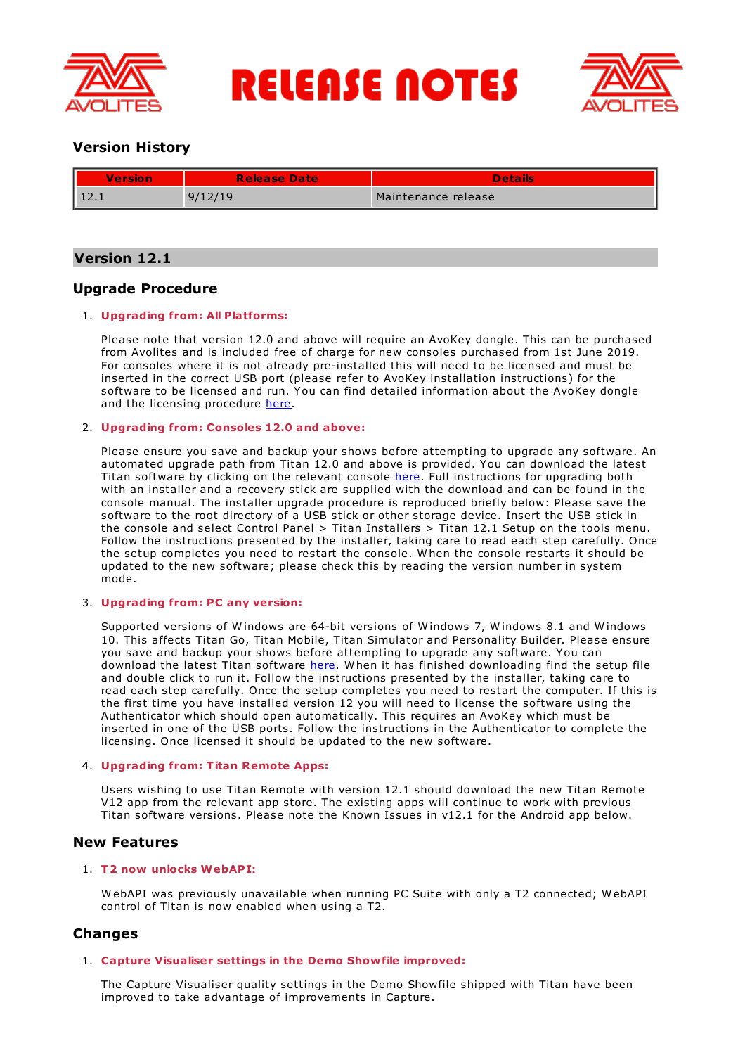

**RELEASE NOTES** 



# **Version History**

| Version | <b>Release Date</b> | <b>Details</b>      |
|---------|---------------------|---------------------|
| 14.I    | 9/12/19             | Maintenance release |

# **Version 12.1**

# **Upgrade Procedure**

## 1. **Upgrading from: All Platforms:**

Please note that version 12.0 and above will require an AvoKey dongle. This can be purchased from Avolites and is included free of charge for new consoles purchased from 1st June 2019. For consoles where it is not already pre-installed this will need to be licensed and must be inserted in the correct USB port (please refer to AvoKey installation instructions) for the software to be licensed and run. You can find detailed information about the AvoKey dongle and the licensing procedure [here](https://www.avolites.com/avokey).

## 2. **Upgrading from: Consoles 12.0 and above:**

Please ensure you save and backup your shows before attempting to upgrade any software. An automated upgrade path from Titan 12.0 and above is provided. You can download the latest Titan software by clicking on the relevant console [here](http://www.avolites.com/software/latest-version). Full instructions for upgrading both with an installer and a recovery stick are supplied with the download and can be found in the console manual. The installer upgrade procedure is reproduced briefly below: Please save the software to the root directory of a USB stick or other storage device. Insert the USB stick in the console and select Control Panel > Titan Installers > Titan 12.1 Setup on the tools menu. Follow the instructions presented by the installer, taking care to read each step carefully. Once the setup completes you need to restart the console. W hen the console restarts it should be updated to the new software; please check this by reading the version number in system mode.

## 3. **Upgrading from: PC any version:**

Supported versions of Windows are 64-bit versions of Windows 7, Windows 8.1 and Windows 10. This affects Titan Go, Titan Mobile, Titan Simulator and Personality Builder. Please ensure you save and backup your shows before attempting to upgrade any software. You can download the latest Titan software [here](http://www.avolites.com/software/latest-version). When it has finished downloading find the setup file and double click to run it. Follow the instructions presented by the installer, taking care to read each step carefully. Once the setup completes you need to restart the computer. If this is the first time you have installed version 12 you will need to license the software using the Authenticator which should open automatically. This requires an AvoKey which must be inserted in one of the USB ports. Follow the instructions in the Authenticator to complete the licensing. Once licensed it should be updated to the new software.

## 4. **Upgrading from: Titan Remote Apps:**

Users wishing to use Titan Remote with version 12.1 should download the new Titan Remote V12 app from the relevant app store. The existing apps will continue to work with previous Titan software versions. Please note the Known Issues in v12.1 for the Android app below.

## **New Features**

## 1. **T2 now unlocks WebAPI:**

W ebAPI was previously unavailable when running PC Suite with only a T2 connected; W ebAPI control of Titan is now enabled when using a T2.

## **Changes**

## 1. **Capture Visualiser settings in the Demo Showfile improved:**

The Capture Visualiser quality settings in the Demo Showfile shipped with Titan have been improved to take advantage of improvements in Capture.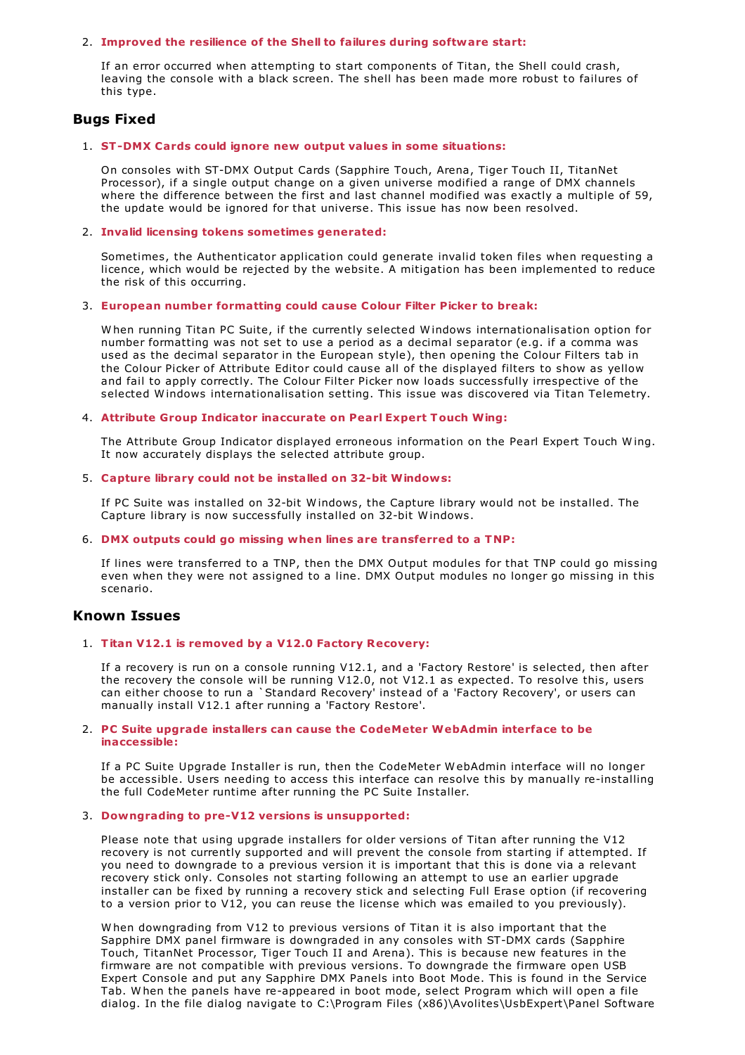#### 2. **Improved the resilience of the Shell to failures during software start:**

If an error occurred when attempting to start components of Titan, the Shell could crash, leaving the console with a black screen. The shell has been made more robust to failures of this type.

# **Bugs Fixed**

## 1. **ST-DMX Cards could ignore new output values in some situations:**

On consoles with ST-DMX Output Cards (Sapphire Touch, Arena, Tiger Touch II, TitanNet Processor), if a single output change on a given universe modified a range of DMX channels where the difference between the first and last channel modified was exactly a multiple of 59, the update would be ignored for that universe. This issue has now been resolved.

## 2. **Invalid licensing tokens sometimes generated:**

Sometimes, the Authenticator application could generate invalid token files when requesting a licence, which would be rejected by the website. A mitigation has been implemented to reduce the risk of this occurring.

## 3. **European number formatting could cause Colour Filter Picker to break:**

W hen running Titan PC Suite, if the currently selected W indows internationalisation option for number formatting was not set to use a period as a decimal separator (e.g. if a comma was used as the decimal separator in the European style), then opening the Colour Filters tab in the Colour Picker of Attribute Editor could cause all of the displayed filters to show as yellow and fail to apply correctly. The Colour Filter Picker now loads successfully irrespective of the selected W indows internationalisation setting. This issue was discovered via Titan Telemetry.

## 4. **Attribute Group Indicator inaccurate on Pearl Expert Touch Wing:**

The Attribute Group Indicator displayed erroneous information on the Pearl Expert Touch W ing. It now accurately displays the selected attribute group.

## 5. **Capture library could not be installed on 32-bit Windows:**

If PC Suite was installed on 32-bit W indows, the Capture library would not be installed. The Capture library is now successfully installed on 32-bit W indows.

## 6. **DMX outputs could go missing when lines are transferred to a TNP:**

If lines were transferred to a TNP, then the DMX Output modules for that TNP could go missing even when they were not assigned to a line. DMX Output modules no longer go missing in this scenario.

## **Known Issues**

## 1. **Titan V12.1 is removed by a V12.0 Factory Recovery:**

If a recovery is run on a console running V12.1, and a 'Factory Restore' is selected, then after the recovery the console will be running V12.0, not V12.1 as expected. To resolve this, users can either choose to run a `Standard Recovery' instead of a 'Factory Recovery', or users can manually install V12.1 after running a 'Factory Restore'.

#### 2. **PC Suite upgrade installers can cause the CodeMeter WebAdmin interface to be inaccessible:**

If a PC Suite Upgrade Installer is run, then the CodeMeter W ebAdmin interface will no longer be accessible. Users needing to access this interface can resolve this by manually re-installing the full CodeMeter runtime after running the PC Suite Installer.

## 3. **Downgrading to pre-V12 versions is unsupported:**

Please note that using upgrade installers for older versions of Titan after running the V12 recovery is not currently supported and will prevent the console from starting if attempted. If you need to downgrade to a previous version it is important that this is done via a relevant recovery stick only. Consoles not starting following an attempt to use an earlier upgrade installer can be fixed by running a recovery stick and selecting Full Erase option (if recovering to a version prior to V12, you can reuse the license which was emailed to you previously).

W hen downgrading from V12 to previous versions of Titan it is also important that the Sapphire DMX panel firmware is downgraded in any consoles with ST-DMX cards (Sapphire Touch, TitanNet Processor, Tiger Touch II and Arena). This is because new features in the firmware are not compatible with previous versions. To downgrade the firmware open USB Expert Console and put any Sapphire DMX Panels into Boot Mode. This is found in the Service Tab. W hen the panels have re-appeared in boot mode, select Program which will open a file dialog. In the file dialog navigate to C:\Program Files (x86)\Avolites\UsbExpert\Panel Software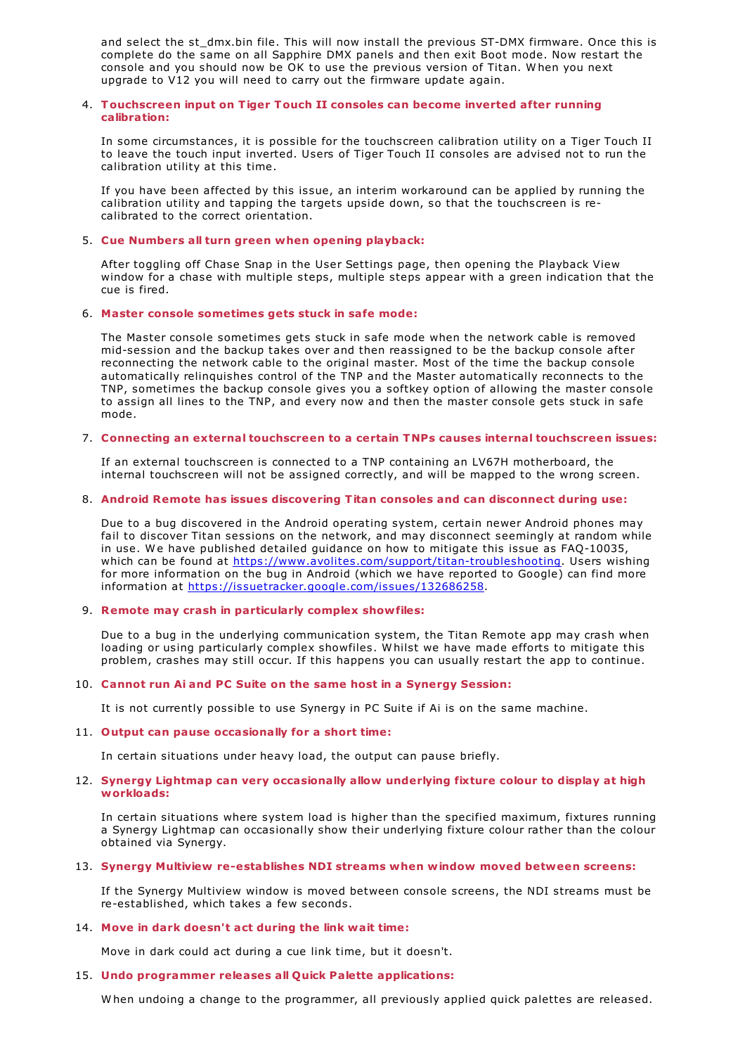and select the st\_dmx.bin file. This will now install the previous ST-DMX firmware. Once this is complete do the same on all Sapphire DMX panels and then exit Boot mode. Now restart the console and you should now be OK to use the previous version of Titan. W hen you next upgrade to V12 you will need to carry out the firmware update again.

## 4. **Touchscreen input on Tiger Touch II consoles can become inverted after running calibration:**

In some circumstances, it is possible for the touchscreen calibration utility on a Tiger Touch II to leave the touch input inverted. Users of Tiger Touch II consoles are advised not to run the calibration utility at this time.

If you have been affected by this issue, an interim workaround can be applied by running the calibration utility and tapping the targets upside down, so that the touchscreen is recalibrated to the correct orientation.

## 5. **Cue Numbers all turn green when opening playback:**

After toggling off Chase Snap in the User Settings page, then opening the Playback View window for a chase with multiple steps, multiple steps appear with a green indication that the cue is fired.

#### 6. **Master console sometimes gets stuck in safe mode:**

The Master console sometimes gets stuck in safe mode when the network cable is removed mid-session and the backup takes over and then reassigned to be the backup console after reconnecting the network cable to the original master. Most of the time the backup console automatically relinquishes control of the TNP and the Master automatically reconnects to the TNP, sometimes the backup console gives you a softkey option of allowing the master console to assign all lines to the TNP, and every now and then the master console gets stuck in safe mode.

#### 7. **Connecting an external touchscreen to a certain TNPs causes internal touchscreen issues:**

If an external touchscreen is connected to a TNP containing an LV67H motherboard, the internal touchscreen will not be assigned correctly, and will be mapped to the wrong screen.

## 8. **Android Remote has issues discovering Titan consoles and can disconnect during use:**

Due to a bug discovered in the Android operating system, certain newer Android phones may fail to discover Titan sessions on the network, and may disconnect seemingly at random while in use. We have published detailed quidance on how to mitigate this issue as FAO-10035, which can be found at <https://www.avolites.com/support/titan-troubleshooting>. Users wishing for more information on the bug in Android (which we have reported to Google) can find more information at <https://issuetracker.google.com/issues/132686258>.

#### 9. **Remote may crash in particularly complex showfiles:**

Due to a bug in the underlying communication system, the Titan Remote app may crash when loading or using particularly complex showfiles. W hilst we have made efforts to mitigate this problem, crashes may still occur. If this happens you can usually restart the app to continue.

#### 10. **Cannot run Ai and PC Suite on the same host in a Synergy Session:**

It is not currently possible to use Synergy in PC Suite if Ai is on the same machine.

#### 11. **Output can pause occasionally for a short time:**

In certain situations under heavy load, the output can pause briefly.

#### 12. **Synergy Lightmap can very occasionally allow underlying fixture colour to display at high workloads:**

In certain situations where system load is higher than the specified maximum, fixtures running a Synergy Lightmap can occasionally show their underlying fixture colour rather than the colour obtained via Synergy.

## 13. **Synergy Multiview re-establishes NDI streams when window moved between screens:**

If the Synergy Multiview window is moved between console screens, the NDI streams must be re-established, which takes a few seconds.

## 14. **Move in dark doesn't act during the link wait time:**

Move in dark could act during a cue link time, but it doesn't.

## 15. **Undo programmer releases all Quick Palette applications:**

W hen undoing a change to the programmer, all previously applied quick palettes are released.